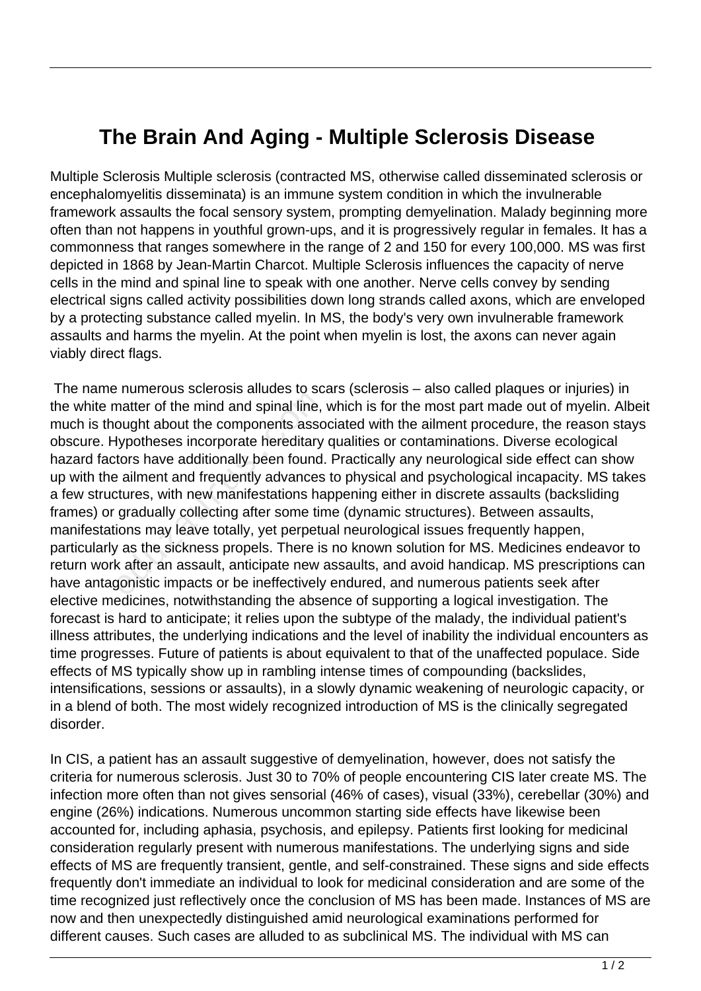## **The Brain And Aging - Multiple Sclerosis Disease**

Multiple Sclerosis Multiple sclerosis (contracted MS, otherwise called disseminated sclerosis or encephalomyelitis disseminata) is an immune system condition in which the invulnerable framework assaults the focal sensory system, prompting demyelination. Malady beginning more often than not happens in youthful grown-ups, and it is progressively regular in females. It has a commonness that ranges somewhere in the range of 2 and 150 for every 100,000. MS was first depicted in 1868 by Jean-Martin Charcot. Multiple Sclerosis influences the capacity of nerve cells in the mind and spinal line to speak with one another. Nerve cells convey by sending electrical signs called activity possibilities down long strands called axons, which are enveloped by a protecting substance called myelin. In MS, the body's very own invulnerable framework assaults and harms the myelin. At the point when myelin is lost, the axons can never again viably direct flags.

 The name numerous sclerosis alludes to scars (sclerosis – also called plaques or injuries) in the white matter of the mind and spinal line, which is for the most part made out of myelin. Albeit much is thought about the components associated with the ailment procedure, the reason stays obscure. Hypotheses incorporate hereditary qualities or contaminations. Diverse ecological hazard factors have additionally been found. Practically any neurological side effect can show up with the ailment and frequently advances to physical and psychological incapacity. MS takes a few structures, with new manifestations happening either in discrete assaults (backsliding frames) or gradually collecting after some time (dynamic structures). Between assaults, manifestations may leave totally, yet perpetual neurological issues frequently happen, particularly as the sickness propels. There is no known solution for MS. Medicines endeavor to return work after an assault, anticipate new assaults, and avoid handicap. MS prescriptions can have antagonistic impacts or be ineffectively endured, and numerous patients seek after elective medicines, notwithstanding the absence of supporting a logical investigation. The forecast is hard to anticipate; it relies upon the subtype of the malady, the individual patient's illness attributes, the underlying indications and the level of inability the individual encounters as time progresses. Future of patients is about equivalent to that of the unaffected populace. Side effects of MS typically show up in rambling intense times of compounding (backslides, intensifications, sessions or assaults), in a slowly dynamic weakening of neurologic capacity, or in a blend of both. The most widely recognized introduction of MS is the clinically segregated disorder. matter of the mind and spinal line,<br>ought about the components assoclypotheses incorporate hereditary<br>tors have additionally been found.<br>e ailment and frequently advances<br>stures, with new manifestations has<br>gradually colle

In CIS, a patient has an assault suggestive of demyelination, however, does not satisfy the criteria for numerous sclerosis. Just 30 to 70% of people encountering CIS later create MS. The infection more often than not gives sensorial (46% of cases), visual (33%), cerebellar (30%) and engine (26%) indications. Numerous uncommon starting side effects have likewise been accounted for, including aphasia, psychosis, and epilepsy. Patients first looking for medicinal consideration regularly present with numerous manifestations. The underlying signs and side effects of MS are frequently transient, gentle, and self-constrained. These signs and side effects frequently don't immediate an individual to look for medicinal consideration and are some of the time recognized just reflectively once the conclusion of MS has been made. Instances of MS are now and then unexpectedly distinguished amid neurological examinations performed for different causes. Such cases are alluded to as subclinical MS. The individual with MS can